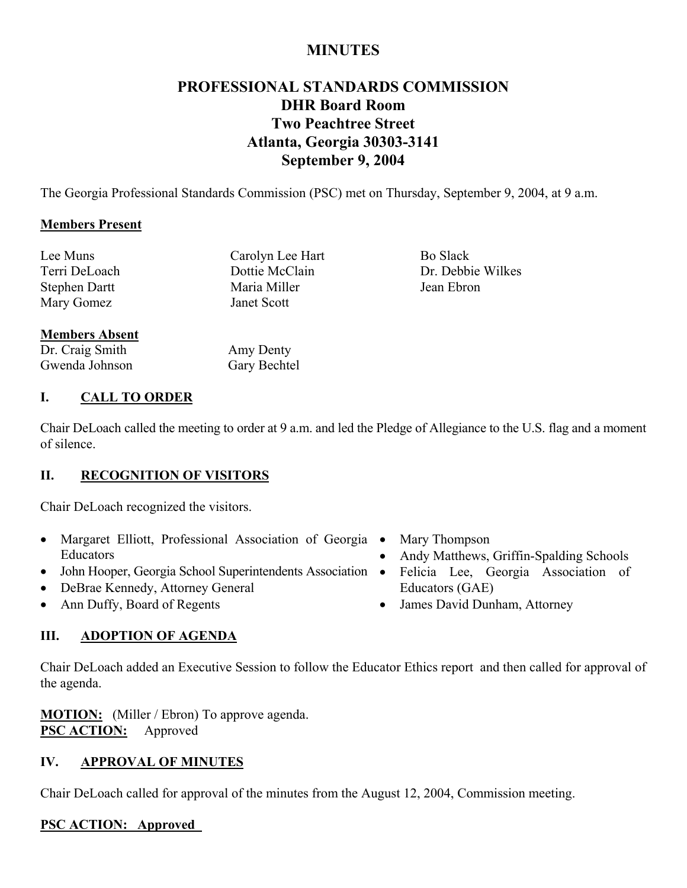## **MINUTES**

## **PROFESSIONAL STANDARDS COMMISSION DHR Board Room Two Peachtree Street Atlanta, Georgia 30303-3141 September 9, 2004**

The Georgia Professional Standards Commission (PSC) met on Thursday, September 9, 2004, at 9 a.m.

#### **Members Present**

Lee Muns Carolyn Lee Hart Bo Slack Terri DeLoach Dottie McClain Dr. Debbie Wilkes Stephen Dartt Maria Miller Jean Ebron Mary Gomez Janet Scott

## **Members Absent**

Dr. Craig Smith Gwenda Johnson Amy Denty Gary Bechtel

## **I. CALL TO ORDER**

Chair DeLoach called the meeting to order at 9 a.m. and led the Pledge of Allegiance to the U.S. flag and a moment of silence.

## **II. RECOGNITION OF VISITORS**

Chair DeLoach recognized the visitors.

- Margaret Elliott, Professional Association of Georgia Mary Thompson Educators
- John Hooper, Georgia School Superintendents Association •
- DeBrae Kennedy, Attorney General
- Ann Duffy, Board of Regents
- 
- Andy Matthews, Griffin-Spalding Schools
- Felicia Lee, Georgia Association of Educators (GAE)
- James David Dunham, Attorney

## **III. ADOPTION OF AGENDA**

Chair DeLoach added an Executive Session to follow the Educator Ethics report and then called for approval of the agenda.

**MOTION:** (Miller / Ebron) To approve agenda. **PSC ACTION:** Approved

## **IV. APPROVAL OF MINUTES**

Chair DeLoach called for approval of the minutes from the August 12, 2004, Commission meeting.

## **PSC ACTION: Approved**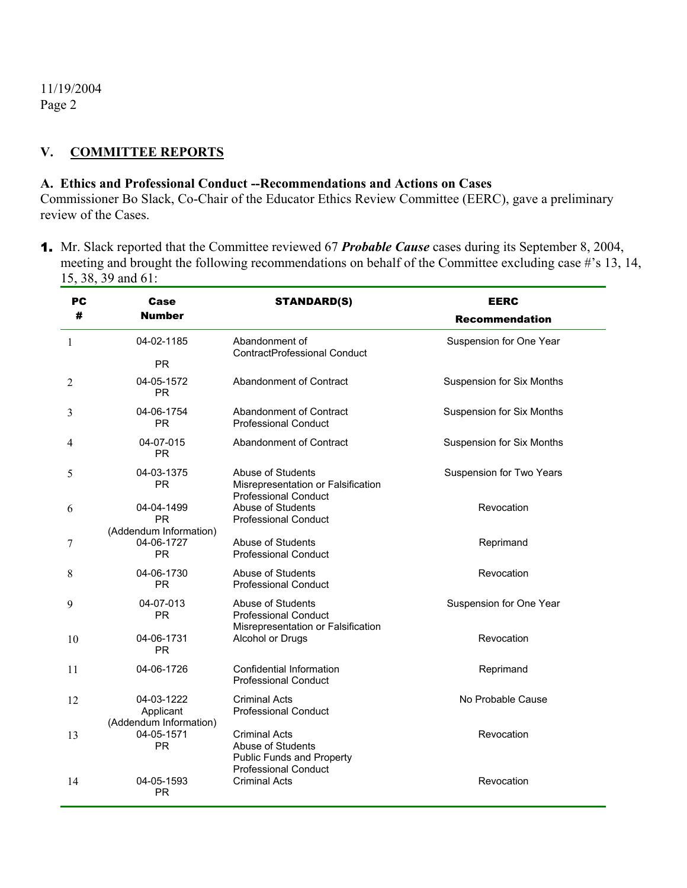#### **V. COMMITTEE REPORTS**

#### **A. Ethics and Professional Conduct --Recommendations and Actions on Cases**

Commissioner Bo Slack, Co-Chair of the Educator Ethics Review Committee (EERC), gave a preliminary review of the Cases.

1. Mr. Slack reported that the Committee reviewed 67 *Probable Cause* cases during its September 8, 2004, meeting and brought the following recommendations on behalf of the Committee excluding case #'s 13, 14, 15, 38, 39 and 61:

| PС | Case                                              | <b>STANDARD(S)</b>                                                                                           | <b>EERC</b>                      |
|----|---------------------------------------------------|--------------------------------------------------------------------------------------------------------------|----------------------------------|
| #  | <b>Number</b>                                     |                                                                                                              | <b>Recommendation</b>            |
| 1  | 04-02-1185                                        | Abandonment of<br><b>ContractProfessional Conduct</b>                                                        | Suspension for One Year          |
|    | <b>PR</b>                                         |                                                                                                              |                                  |
| 2  | 04-05-1572<br><b>PR</b>                           | Abandonment of Contract                                                                                      | <b>Suspension for Six Months</b> |
| 3  | 04-06-1754<br>PR.                                 | Abandonment of Contract<br><b>Professional Conduct</b>                                                       | Suspension for Six Months        |
| 4  | 04-07-015<br><b>PR</b>                            | Abandonment of Contract                                                                                      | <b>Suspension for Six Months</b> |
| 5  | 04-03-1375<br><b>PR</b>                           | Abuse of Students<br>Misrepresentation or Falsification<br><b>Professional Conduct</b>                       | Suspension for Two Years         |
| 6  | 04-04-1499<br><b>PR</b>                           | Abuse of Students<br><b>Professional Conduct</b>                                                             | Revocation                       |
| 7  | (Addendum Information)<br>04-06-1727<br><b>PR</b> | Abuse of Students<br><b>Professional Conduct</b>                                                             | Reprimand                        |
| 8  | 04-06-1730<br><b>PR</b>                           | Abuse of Students<br><b>Professional Conduct</b>                                                             | Revocation                       |
| 9  | 04-07-013<br><b>PR</b>                            | Abuse of Students<br><b>Professional Conduct</b>                                                             | Suspension for One Year          |
| 10 | 04-06-1731<br><b>PR</b>                           | Misrepresentation or Falsification<br>Alcohol or Drugs                                                       | Revocation                       |
| 11 | 04-06-1726                                        | Confidential Information<br><b>Professional Conduct</b>                                                      | Reprimand                        |
| 12 | 04-03-1222<br>Applicant                           | <b>Criminal Acts</b><br><b>Professional Conduct</b>                                                          | No Probable Cause                |
| 13 | (Addendum Information)<br>04-05-1571<br><b>PR</b> | <b>Criminal Acts</b><br>Abuse of Students<br><b>Public Funds and Property</b><br><b>Professional Conduct</b> | Revocation                       |
| 14 | 04-05-1593<br><b>PR</b>                           | <b>Criminal Acts</b>                                                                                         | Revocation                       |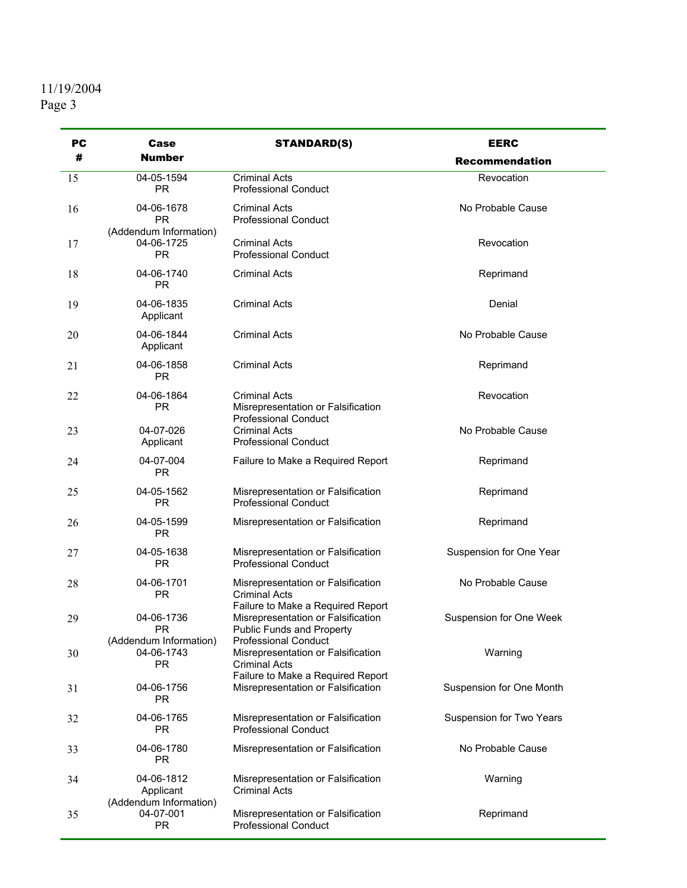| PC | Case                                              | <b>STANDARD(S)</b>                                                                                   | <b>EERC</b>              |
|----|---------------------------------------------------|------------------------------------------------------------------------------------------------------|--------------------------|
| #  | <b>Number</b>                                     |                                                                                                      | <b>Recommendation</b>    |
| 15 | 04-05-1594<br><b>PR</b>                           | <b>Criminal Acts</b><br><b>Professional Conduct</b>                                                  | Revocation               |
| 16 | 04-06-1678<br>PR                                  | <b>Criminal Acts</b><br><b>Professional Conduct</b>                                                  | No Probable Cause        |
| 17 | (Addendum Information)<br>04-06-1725<br><b>PR</b> | <b>Criminal Acts</b><br><b>Professional Conduct</b>                                                  | Revocation               |
| 18 | 04-06-1740<br>PR                                  | <b>Criminal Acts</b>                                                                                 | Reprimand                |
| 19 | 04-06-1835<br>Applicant                           | <b>Criminal Acts</b>                                                                                 | Denial                   |
| 20 | 04-06-1844<br>Applicant                           | <b>Criminal Acts</b>                                                                                 | No Probable Cause        |
| 21 | 04-06-1858<br><b>PR</b>                           | Criminal Acts                                                                                        | Reprimand                |
| 22 | 04-06-1864<br><b>PR</b>                           | <b>Criminal Acts</b><br>Misrepresentation or Falsification<br><b>Professional Conduct</b>            | Revocation               |
| 23 | 04-07-026<br>Applicant                            | <b>Criminal Acts</b><br><b>Professional Conduct</b>                                                  | No Probable Cause        |
| 24 | 04-07-004<br><b>PR</b>                            | Failure to Make a Required Report                                                                    | Reprimand                |
| 25 | 04-05-1562<br><b>PR</b>                           | Misrepresentation or Falsification<br><b>Professional Conduct</b>                                    | Reprimand                |
| 26 | 04-05-1599<br>PR.                                 | Misrepresentation or Falsification                                                                   | Reprimand                |
| 27 | 04-05-1638<br><b>PR</b>                           | Misrepresentation or Falsification<br><b>Professional Conduct</b>                                    | Suspension for One Year  |
| 28 | 04-06-1701<br>PR.                                 | Misrepresentation or Falsification<br><b>Criminal Acts</b>                                           | No Probable Cause        |
| 29 | 04-06-1736<br>PR.                                 | Failure to Make a Required Report<br>Misrepresentation or Falsification<br>Public Funds and Property | Suspension for One Week  |
| 30 | (Addendum Information)<br>04-06-1743<br><b>PR</b> | <b>Professional Conduct</b><br>Misrepresentation or Falsification<br><b>Criminal Acts</b>            | Warning                  |
| 31 | 04-06-1756<br><b>PR</b>                           | Failure to Make a Required Report<br>Misrepresentation or Falsification                              | Suspension for One Month |
| 32 | 04-06-1765<br><b>PR</b>                           | Misrepresentation or Falsification<br><b>Professional Conduct</b>                                    | Suspension for Two Years |
| 33 | 04-06-1780<br><b>PR</b>                           | Misrepresentation or Falsification                                                                   | No Probable Cause        |
| 34 | 04-06-1812<br>Applicant<br>(Addendum Information) | Misrepresentation or Falsification<br><b>Criminal Acts</b>                                           | Warning                  |
| 35 | 04-07-001<br><b>PR</b>                            | Misrepresentation or Falsification<br><b>Professional Conduct</b>                                    | Reprimand                |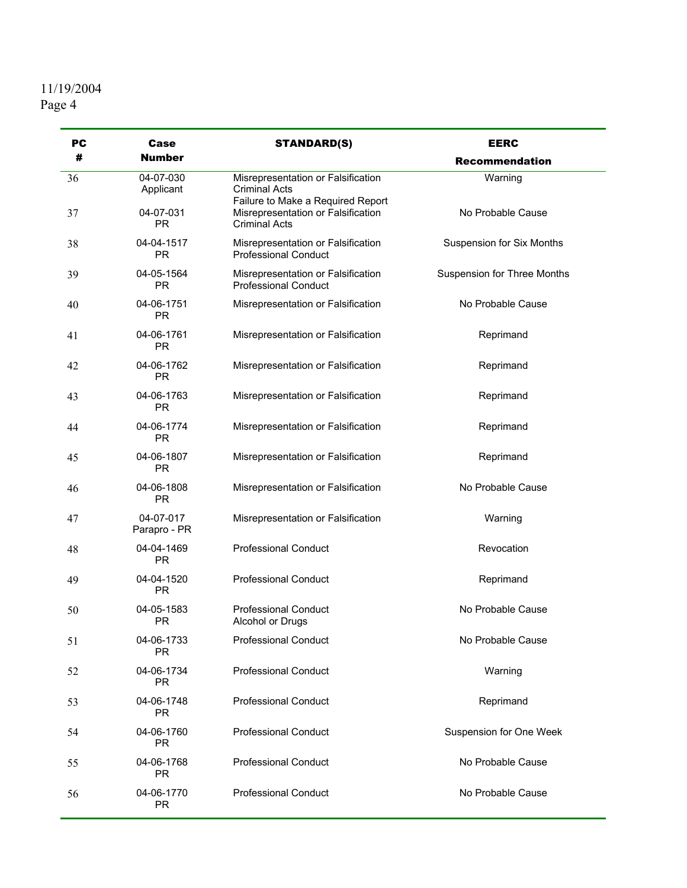# 11/19/2004

| <b>PC</b> | Case                      | <b>STANDARD(S)</b>                                                                              | <b>EERC</b>                 |
|-----------|---------------------------|-------------------------------------------------------------------------------------------------|-----------------------------|
| #         | <b>Number</b>             |                                                                                                 | Recommendation              |
| 36        | 04-07-030<br>Applicant    | Misrepresentation or Falsification<br><b>Criminal Acts</b><br>Failure to Make a Required Report | Warning                     |
| 37        | 04-07-031<br><b>PR</b>    | Misrepresentation or Falsification<br><b>Criminal Acts</b>                                      | No Probable Cause           |
| 38        | 04-04-1517<br><b>PR</b>   | Misrepresentation or Falsification<br><b>Professional Conduct</b>                               | Suspension for Six Months   |
| 39        | 04-05-1564<br><b>PR</b>   | Misrepresentation or Falsification<br><b>Professional Conduct</b>                               | Suspension for Three Months |
| 40        | 04-06-1751<br><b>PR</b>   | Misrepresentation or Falsification                                                              | No Probable Cause           |
| 41        | 04-06-1761<br><b>PR</b>   | Misrepresentation or Falsification                                                              | Reprimand                   |
| 42        | 04-06-1762<br><b>PR</b>   | Misrepresentation or Falsification                                                              | Reprimand                   |
| 43        | 04-06-1763<br><b>PR</b>   | Misrepresentation or Falsification                                                              | Reprimand                   |
| 44        | 04-06-1774<br><b>PR</b>   | Misrepresentation or Falsification                                                              | Reprimand                   |
| 45        | 04-06-1807<br><b>PR</b>   | Misrepresentation or Falsification                                                              | Reprimand                   |
| 46        | 04-06-1808<br><b>PR</b>   | Misrepresentation or Falsification                                                              | No Probable Cause           |
| 47        | 04-07-017<br>Parapro - PR | Misrepresentation or Falsification                                                              | Warning                     |
| 48        | 04-04-1469<br><b>PR</b>   | <b>Professional Conduct</b>                                                                     | Revocation                  |
| 49        | 04-04-1520<br><b>PR</b>   | <b>Professional Conduct</b>                                                                     | Reprimand                   |
| 50        | 04-05-1583<br><b>PR</b>   | <b>Professional Conduct</b><br>Alcohol or Drugs                                                 | No Probable Cause           |
| 51        | 04-06-1733<br>PR          | <b>Professional Conduct</b>                                                                     | No Probable Cause           |
| 52        | 04-06-1734<br><b>PR</b>   | <b>Professional Conduct</b>                                                                     | Warning                     |
| 53        | 04-06-1748<br>PR.         | <b>Professional Conduct</b>                                                                     | Reprimand                   |
| 54        | 04-06-1760<br><b>PR</b>   | <b>Professional Conduct</b>                                                                     | Suspension for One Week     |
| 55        | 04-06-1768<br>PR.         | <b>Professional Conduct</b>                                                                     | No Probable Cause           |
| 56        | 04-06-1770<br><b>PR</b>   | <b>Professional Conduct</b>                                                                     | No Probable Cause           |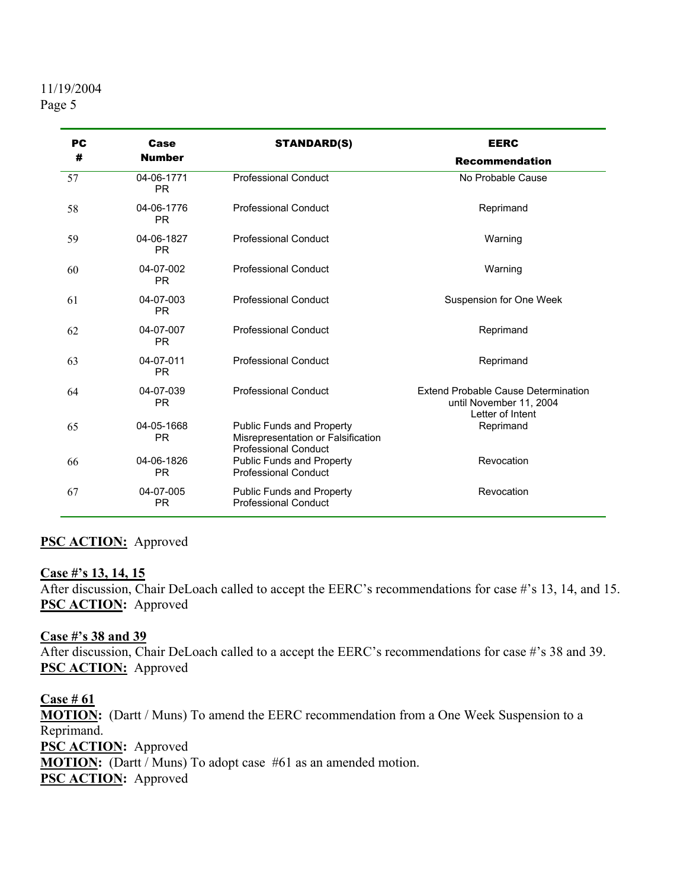| <b>PC</b> | Case                    | <b>STANDARD(S)</b>                                                                             | <b>EERC</b>                                                                        |
|-----------|-------------------------|------------------------------------------------------------------------------------------------|------------------------------------------------------------------------------------|
| #         | <b>Number</b>           |                                                                                                | <b>Recommendation</b>                                                              |
| 57        | 04-06-1771<br><b>PR</b> | <b>Professional Conduct</b>                                                                    | No Probable Cause                                                                  |
| 58        | 04-06-1776<br><b>PR</b> | <b>Professional Conduct</b>                                                                    | Reprimand                                                                          |
| 59        | 04-06-1827<br><b>PR</b> | <b>Professional Conduct</b>                                                                    | Warning                                                                            |
| 60        | 04-07-002<br><b>PR</b>  | <b>Professional Conduct</b>                                                                    | Warning                                                                            |
| 61        | 04-07-003<br><b>PR</b>  | <b>Professional Conduct</b>                                                                    | Suspension for One Week                                                            |
| 62        | 04-07-007<br><b>PR</b>  | <b>Professional Conduct</b>                                                                    | Reprimand                                                                          |
| 63        | 04-07-011<br><b>PR</b>  | <b>Professional Conduct</b>                                                                    | Reprimand                                                                          |
| 64        | 04-07-039<br><b>PR</b>  | <b>Professional Conduct</b>                                                                    | Extend Probable Cause Determination<br>until November 11, 2004<br>Letter of Intent |
| 65        | 04-05-1668<br><b>PR</b> | Public Funds and Property<br>Misrepresentation or Falsification<br><b>Professional Conduct</b> | Reprimand                                                                          |
| 66        | 04-06-1826<br><b>PR</b> | <b>Public Funds and Property</b><br><b>Professional Conduct</b>                                | Revocation                                                                         |
| 67        | 04-07-005<br><b>PR</b>  | <b>Public Funds and Property</b><br><b>Professional Conduct</b>                                | Revocation                                                                         |

## **PSC ACTION:** Approved

#### **Case #'s 13, 14, 15**

After discussion, Chair DeLoach called to accept the EERC's recommendations for case #'s 13, 14, and 15. **PSC ACTION:** Approved

**Case #'s 38 and 39** After discussion, Chair DeLoach called to a accept the EERC's recommendations for case #'s 38 and 39. **PSC ACTION:** Approved

**Case # 61 MOTION:** (Dartt / Muns) To amend the EERC recommendation from a One Week Suspension to a Reprimand. **PSC ACTION:** Approved **MOTION:** (Dartt / Muns) To adopt case #61 as an amended motion. **PSC ACTION:** Approved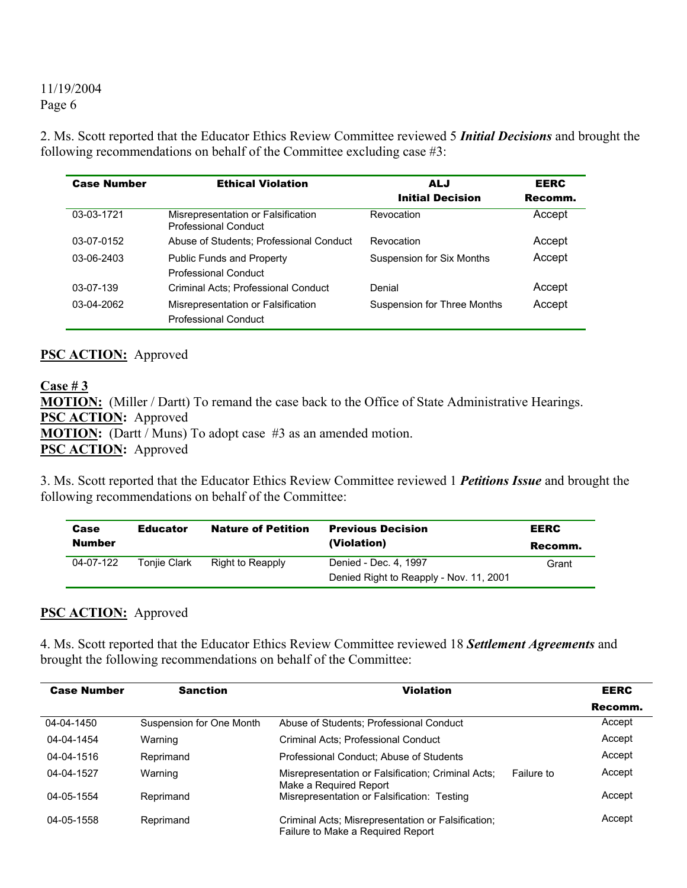2. Ms. Scott reported that the Educator Ethics Review Committee reviewed 5 *Initial Decisions* and brought the following recommendations on behalf of the Committee excluding case #3:

| <b>Case Number</b> | <b>Ethical Violation</b>                                          | ALJ<br><b>Initial Decision</b> | <b>EERC</b><br>Recomm. |
|--------------------|-------------------------------------------------------------------|--------------------------------|------------------------|
| 03-03-1721         | Misrepresentation or Falsification<br><b>Professional Conduct</b> | Revocation                     | Accept                 |
| 03-07-0152         | Abuse of Students: Professional Conduct                           | Revocation                     | Accept                 |
| $03-06-2403$       | <b>Public Funds and Property</b><br><b>Professional Conduct</b>   | Suspension for Six Months      | Accept                 |
| $03-07-139$        | Criminal Acts: Professional Conduct                               | Denial                         | Accept                 |
| 03-04-2062         | Misrepresentation or Falsification<br><b>Professional Conduct</b> | Suspension for Three Months    | Accept                 |

#### **PSC ACTION:** Approved

**Case # 3 MOTION:** (Miller / Dartt) To remand the case back to the Office of State Administrative Hearings. **PSC ACTION:** Approved **MOTION:** (Dartt / Muns) To adopt case #3 as an amended motion. **PSC ACTION:** Approved

3. Ms. Scott reported that the Educator Ethics Review Committee reviewed 1 *Petitions Issue* and brought the following recommendations on behalf of the Committee:

| Case          | <b>Educator</b>     | <b>Nature of Petition</b> | <b>Previous Decision</b>                | <b>EERC</b> |
|---------------|---------------------|---------------------------|-----------------------------------------|-------------|
| <b>Number</b> |                     |                           | (Violation)                             | Recomm.     |
| 04-07-122     | <b>Toniie Clark</b> | Right to Reapply          | Denied - Dec. 4, 1997                   | Grant       |
|               |                     |                           | Denied Right to Reapply - Nov. 11, 2001 |             |

#### **PSC ACTION:** Approved

4. Ms. Scott reported that the Educator Ethics Review Committee reviewed 18 *Settlement Agreements* and brought the following recommendations on behalf of the Committee:

| <b>Case Number</b> | <b>Sanction</b>          | <b>Violation</b>                                                                        |            | <b>EERC</b> |
|--------------------|--------------------------|-----------------------------------------------------------------------------------------|------------|-------------|
|                    |                          |                                                                                         |            | Recomm.     |
| 04-04-1450         | Suspension for One Month | Abuse of Students; Professional Conduct                                                 |            | Accept      |
| 04-04-1454         | Warning                  | Criminal Acts; Professional Conduct                                                     |            | Accept      |
| 04-04-1516         | Reprimand                | Professional Conduct: Abuse of Students                                                 |            | Accept      |
| 04-04-1527         | Warning                  | Misrepresentation or Falsification; Criminal Acts;<br>Make a Required Report            | Failure to | Accept      |
| 04-05-1554         | Reprimand                | Misrepresentation or Falsification: Testing                                             |            | Accept      |
| 04-05-1558         | Reprimand                | Criminal Acts; Misrepresentation or Falsification;<br>Failure to Make a Required Report |            | Accept      |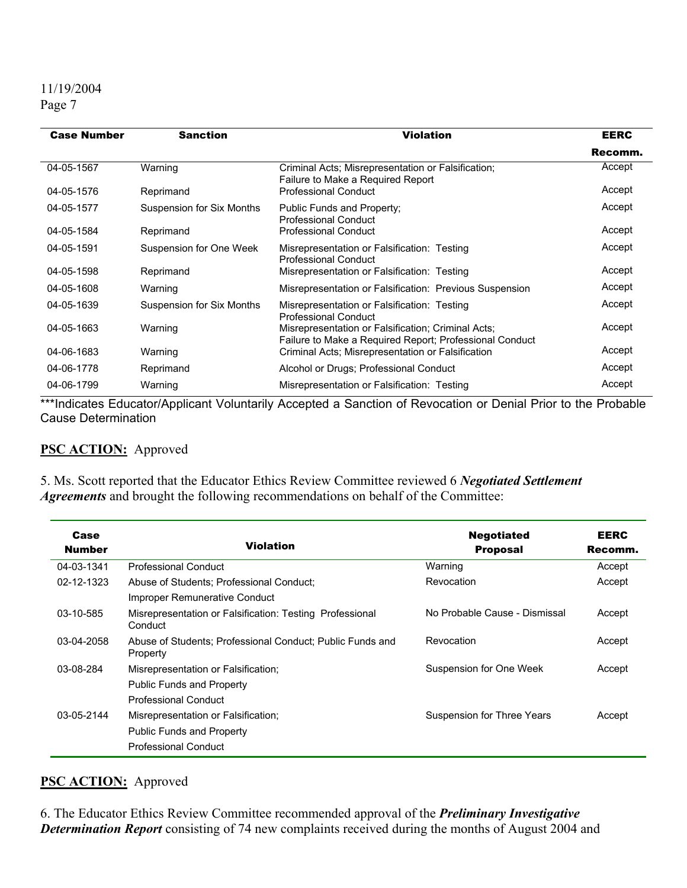## 11/19/2004

Page 7

| <b>Case Number</b> | <b>Sanction</b>           | <b>Violation</b>                                                                                              | <b>EERC</b> |
|--------------------|---------------------------|---------------------------------------------------------------------------------------------------------------|-------------|
|                    |                           |                                                                                                               | Recomm.     |
| 04-05-1567         | Warning                   | Criminal Acts; Misrepresentation or Falsification;<br>Failure to Make a Required Report                       | Accept      |
| 04-05-1576         | Reprimand                 | <b>Professional Conduct</b>                                                                                   | Accept      |
| 04-05-1577         | Suspension for Six Months | Public Funds and Property;<br><b>Professional Conduct</b>                                                     | Accept      |
| 04-05-1584         | Reprimand                 | <b>Professional Conduct</b>                                                                                   | Accept      |
| 04-05-1591         | Suspension for One Week   | Misrepresentation or Falsification: Testing<br><b>Professional Conduct</b>                                    | Accept      |
| 04-05-1598         | Reprimand                 | Misrepresentation or Falsification: Testing                                                                   | Accept      |
| 04-05-1608         | Warning                   | Misrepresentation or Falsification: Previous Suspension                                                       | Accept      |
| 04-05-1639         | Suspension for Six Months | Misrepresentation or Falsification: Testing<br><b>Professional Conduct</b>                                    | Accept      |
| 04-05-1663         | Warning                   | Misrepresentation or Falsification; Criminal Acts;<br>Failure to Make a Required Report; Professional Conduct | Accept      |
| 04-06-1683         | Warning                   | Criminal Acts; Misrepresentation or Falsification                                                             | Accept      |
| 04-06-1778         | Reprimand                 | Alcohol or Drugs; Professional Conduct                                                                        | Accept      |
| 04-06-1799         | Warning                   | Misrepresentation or Falsification: Testing                                                                   | Accept      |

\*\*\*Indicates Educator/Applicant Voluntarily Accepted a Sanction of Revocation or Denial Prior to the Probable Cause Determination

## **PSC ACTION:** Approved

5. Ms. Scott reported that the Educator Ethics Review Committee reviewed 6 *Negotiated Settlement Agreements* and brought the following recommendations on behalf of the Committee:

| Case<br><b>Number</b> | <b>Violation</b>                                                                                | <b>Negotiated</b><br><b>Proposal</b> | <b>EERC</b><br>Recomm. |
|-----------------------|-------------------------------------------------------------------------------------------------|--------------------------------------|------------------------|
| 04-03-1341            | <b>Professional Conduct</b>                                                                     | Warning                              | Accept                 |
| 02-12-1323            | Abuse of Students: Professional Conduct:<br>Improper Remunerative Conduct                       | Revocation                           | Accept                 |
| 03-10-585             | Misrepresentation or Falsification: Testing Professional<br>Conduct                             | No Probable Cause - Dismissal        | Accept                 |
| 03-04-2058            | Abuse of Students; Professional Conduct; Public Funds and<br>Property                           | Revocation                           | Accept                 |
| 03-08-284             | Misrepresentation or Falsification;<br><b>Public Funds and Property</b>                         | Suspension for One Week              | Accept                 |
|                       | Professional Conduct                                                                            |                                      |                        |
| $03-05-2144$          | Misrepresentation or Falsification;<br><b>Public Funds and Property</b><br>Professional Conduct | Suspension for Three Years           | Accept                 |

## **PSC ACTION:** Approved

6. The Educator Ethics Review Committee recommended approval of the *Preliminary Investigative* **Determination Report** consisting of 74 new complaints received during the months of August 2004 and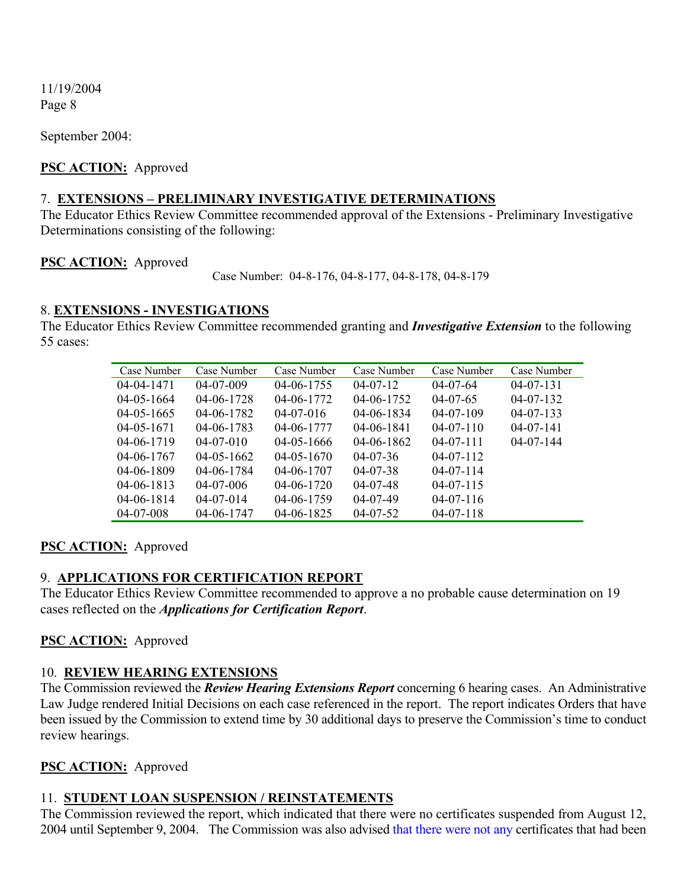September 2004:

#### **PSC ACTION:** Approved

#### 7. **EXTENSIONS – PRELIMINARY INVESTIGATIVE DETERMINATIONS**

The Educator Ethics Review Committee recommended approval of the Extensions - Preliminary Investigative Determinations consisting of the following:

#### **PSC ACTION:** Approved

Case Number: 04-8-176, 04-8-177, 04-8-178, 04-8-179

#### 8. **EXTENSIONS - INVESTIGATIONS**

The Educator Ethics Review Committee recommended granting and *Investigative Extension* to the following 55 cases:

| Case Number<br>Case Number<br>Case Number<br>Case Number<br>Case Number<br>Case Number<br>$04 - 04 - 1471$<br>$04 - 06 - 1755$<br>$04 - 07 - 12$<br>$04 - 07 - 009$<br>$04 - 07 - 64$<br>$04 - 07 - 131$<br>$04 - 06 - 1728$<br>04-06-1772<br>$04 - 05 - 1664$<br>$04 - 06 - 1752$<br>$04 - 07 - 65$<br>$04 - 07 - 132$<br>04-06-1782<br>$04 - 05 - 1665$<br>$04 - 06 - 1834$<br>$04 - 07 - 133$<br>$04 - 07 - 016$<br>$04 - 07 - 109$<br>$04 - 06 - 1783$<br>$04 - 05 - 1671$<br>04-06-1777<br>$04 - 06 - 1841$<br>$04 - 07 - 110$<br>$04 - 07 - 141$<br>$04 - 06 - 1719$<br>$04 - 06 - 1862$<br>$04 - 07 - 111$<br>$04 - 07 - 144$<br>$04 - 07 - 010$<br>$04 - 05 - 1666$<br>04-06-1767<br>$04 - 07 - 36$<br>$04-07-112$<br>$04 - 05 - 1662$<br>$04 - 05 - 1670$<br>$04 - 07 - 114$<br>$04 - 06 - 1809$<br>$04 - 06 - 1784$<br>$04 - 06 - 1707$<br>$04 - 07 - 38$<br>$04 - 06 - 1813$<br>$04 - 06 - 1720$<br>$04 - 07 - 006$<br>$04 - 07 - 48$<br>$04 - 07 - 115$<br>$04 - 06 - 1814$<br>$04 - 07 - 014$<br>04-06-1759<br>$04 - 07 - 49$<br>$04 - 07 - 116$ |                 |            |                  |                |                 |  |
|---------------------------------------------------------------------------------------------------------------------------------------------------------------------------------------------------------------------------------------------------------------------------------------------------------------------------------------------------------------------------------------------------------------------------------------------------------------------------------------------------------------------------------------------------------------------------------------------------------------------------------------------------------------------------------------------------------------------------------------------------------------------------------------------------------------------------------------------------------------------------------------------------------------------------------------------------------------------------------------------------------------------------------------------------------------|-----------------|------------|------------------|----------------|-----------------|--|
|                                                                                                                                                                                                                                                                                                                                                                                                                                                                                                                                                                                                                                                                                                                                                                                                                                                                                                                                                                                                                                                               |                 |            |                  |                |                 |  |
|                                                                                                                                                                                                                                                                                                                                                                                                                                                                                                                                                                                                                                                                                                                                                                                                                                                                                                                                                                                                                                                               |                 |            |                  |                |                 |  |
|                                                                                                                                                                                                                                                                                                                                                                                                                                                                                                                                                                                                                                                                                                                                                                                                                                                                                                                                                                                                                                                               |                 |            |                  |                |                 |  |
|                                                                                                                                                                                                                                                                                                                                                                                                                                                                                                                                                                                                                                                                                                                                                                                                                                                                                                                                                                                                                                                               |                 |            |                  |                |                 |  |
|                                                                                                                                                                                                                                                                                                                                                                                                                                                                                                                                                                                                                                                                                                                                                                                                                                                                                                                                                                                                                                                               |                 |            |                  |                |                 |  |
|                                                                                                                                                                                                                                                                                                                                                                                                                                                                                                                                                                                                                                                                                                                                                                                                                                                                                                                                                                                                                                                               |                 |            |                  |                |                 |  |
|                                                                                                                                                                                                                                                                                                                                                                                                                                                                                                                                                                                                                                                                                                                                                                                                                                                                                                                                                                                                                                                               |                 |            |                  |                |                 |  |
|                                                                                                                                                                                                                                                                                                                                                                                                                                                                                                                                                                                                                                                                                                                                                                                                                                                                                                                                                                                                                                                               |                 |            |                  |                |                 |  |
|                                                                                                                                                                                                                                                                                                                                                                                                                                                                                                                                                                                                                                                                                                                                                                                                                                                                                                                                                                                                                                                               |                 |            |                  |                |                 |  |
|                                                                                                                                                                                                                                                                                                                                                                                                                                                                                                                                                                                                                                                                                                                                                                                                                                                                                                                                                                                                                                                               |                 |            |                  |                |                 |  |
|                                                                                                                                                                                                                                                                                                                                                                                                                                                                                                                                                                                                                                                                                                                                                                                                                                                                                                                                                                                                                                                               | $04 - 07 - 008$ | 04-06-1747 | $04 - 06 - 1825$ | $04 - 07 - 52$ | $04 - 07 - 118$ |  |

#### **PSC ACTION:** Approved

#### 9. **APPLICATIONS FOR CERTIFICATION REPORT**

The Educator Ethics Review Committee recommended to approve a no probable cause determination on 19 cases reflected on the *Applications for Certification Report*.

#### **PSC ACTION:** Approved

#### 10. **REVIEW HEARING EXTENSIONS**

The Commission reviewed the *Review Hearing Extensions Report* concerning 6 hearing cases. An Administrative Law Judge rendered Initial Decisions on each case referenced in the report. The report indicates Orders that have been issued by the Commission to extend time by 30 additional days to preserve the Commission's time to conduct review hearings.

#### **PSC ACTION:** Approved

#### 11. **STUDENT LOAN SUSPENSION / REINSTATEMENTS**

The Commission reviewed the report, which indicated that there were no certificates suspended from August 12, 2004 until September 9, 2004. The Commission was also advised that there were not any certificates that had been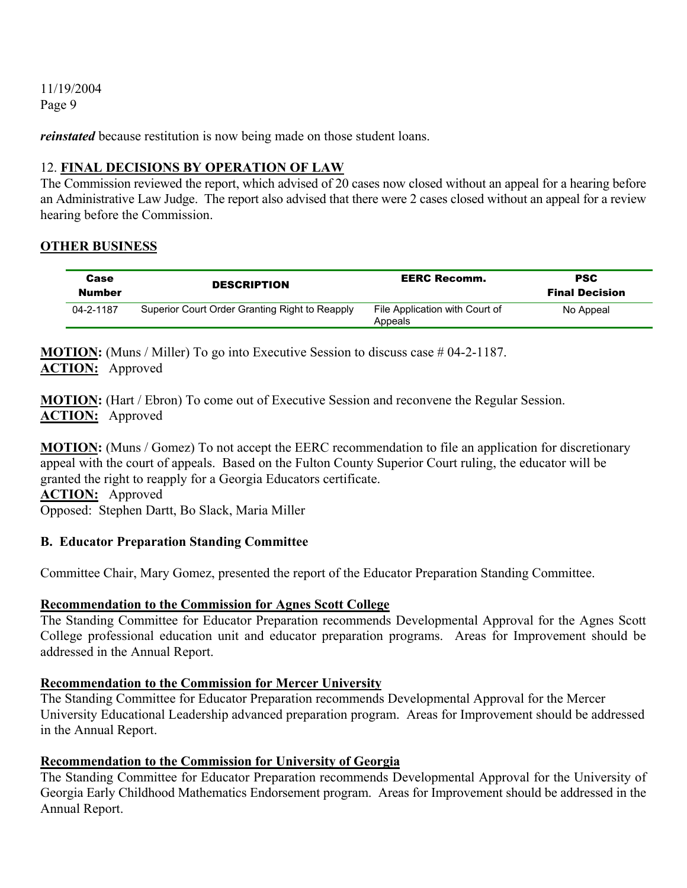*reinstated* because restitution is now being made on those student loans.

#### 12. **FINAL DECISIONS BY OPERATION OF LAW**

The Commission reviewed the report, which advised of 20 cases now closed without an appeal for a hearing before an Administrative Law Judge. The report also advised that there were 2 cases closed without an appeal for a review hearing before the Commission.

#### **OTHER BUSINESS**

| Case<br>Number | <b>DESCRIPTION</b>                             | <b>EERC Recomm.</b>                       | <b>PSC</b><br><b>Final Decision</b> |
|----------------|------------------------------------------------|-------------------------------------------|-------------------------------------|
| 04-2-1187      | Superior Court Order Granting Right to Reapply | File Application with Court of<br>Appeals | No Appeal                           |

**MOTION:** (Muns / Miller) To go into Executive Session to discuss case # 04-2-1187. **ACTION:** Approved

**MOTION:** (Hart / Ebron) To come out of Executive Session and reconvene the Regular Session. **ACTION:** Approved

**MOTION:** (Muns / Gomez) To not accept the EERC recommendation to file an application for discretionary appeal with the court of appeals. Based on the Fulton County Superior Court ruling, the educator will be granted the right to reapply for a Georgia Educators certificate. **ACTION:** Approved

Opposed: Stephen Dartt, Bo Slack, Maria Miller

#### **B. Educator Preparation Standing Committee**

Committee Chair, Mary Gomez, presented the report of the Educator Preparation Standing Committee.

## **Recommendation to the Commission for Agnes Scott College**

The Standing Committee for Educator Preparation recommends Developmental Approval for the Agnes Scott College professional education unit and educator preparation programs. Areas for Improvement should be addressed in the Annual Report.

#### **Recommendation to the Commission for Mercer University**

The Standing Committee for Educator Preparation recommends Developmental Approval for the Mercer University Educational Leadership advanced preparation program. Areas for Improvement should be addressed in the Annual Report.

## **Recommendation to the Commission for University of Georgia**

The Standing Committee for Educator Preparation recommends Developmental Approval for the University of Georgia Early Childhood Mathematics Endorsement program. Areas for Improvement should be addressed in the Annual Report.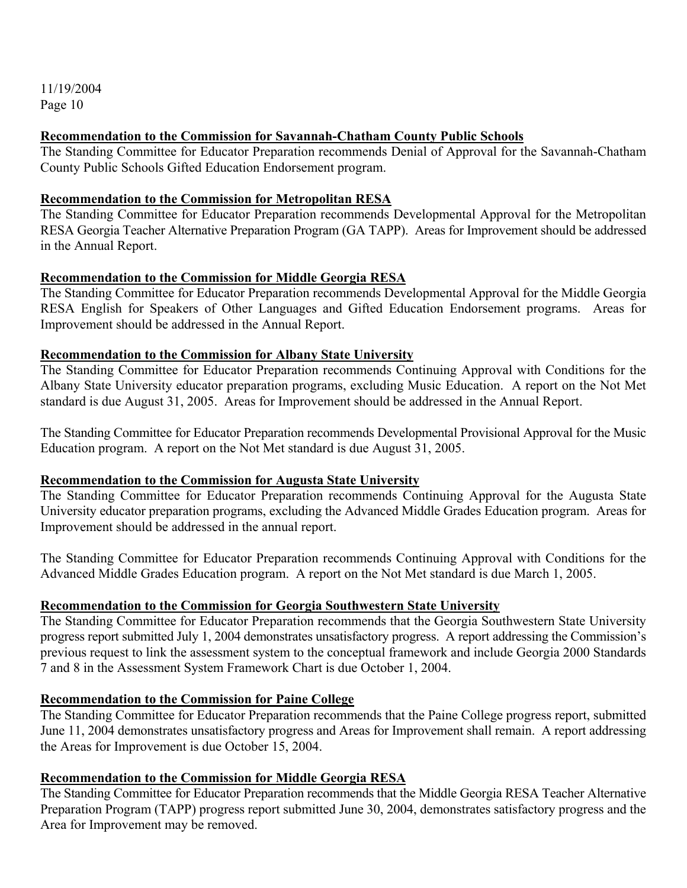#### **Recommendation to the Commission for Savannah-Chatham County Public Schools**

The Standing Committee for Educator Preparation recommends Denial of Approval for the Savannah-Chatham County Public Schools Gifted Education Endorsement program.

#### **Recommendation to the Commission for Metropolitan RESA**

The Standing Committee for Educator Preparation recommends Developmental Approval for the Metropolitan RESA Georgia Teacher Alternative Preparation Program (GA TAPP). Areas for Improvement should be addressed in the Annual Report.

#### **Recommendation to the Commission for Middle Georgia RESA**

The Standing Committee for Educator Preparation recommends Developmental Approval for the Middle Georgia RESA English for Speakers of Other Languages and Gifted Education Endorsement programs. Areas for Improvement should be addressed in the Annual Report.

#### **Recommendation to the Commission for Albany State University**

The Standing Committee for Educator Preparation recommends Continuing Approval with Conditions for the Albany State University educator preparation programs, excluding Music Education. A report on the Not Met standard is due August 31, 2005. Areas for Improvement should be addressed in the Annual Report.

The Standing Committee for Educator Preparation recommends Developmental Provisional Approval for the Music Education program. A report on the Not Met standard is due August 31, 2005.

#### **Recommendation to the Commission for Augusta State University**

The Standing Committee for Educator Preparation recommends Continuing Approval for the Augusta State University educator preparation programs, excluding the Advanced Middle Grades Education program. Areas for Improvement should be addressed in the annual report.

The Standing Committee for Educator Preparation recommends Continuing Approval with Conditions for the Advanced Middle Grades Education program. A report on the Not Met standard is due March 1, 2005.

#### **Recommendation to the Commission for Georgia Southwestern State University**

The Standing Committee for Educator Preparation recommends that the Georgia Southwestern State University progress report submitted July 1, 2004 demonstrates unsatisfactory progress. A report addressing the Commission's previous request to link the assessment system to the conceptual framework and include Georgia 2000 Standards 7 and 8 in the Assessment System Framework Chart is due October 1, 2004.

#### **Recommendation to the Commission for Paine College**

The Standing Committee for Educator Preparation recommends that the Paine College progress report, submitted June 11, 2004 demonstrates unsatisfactory progress and Areas for Improvement shall remain. A report addressing the Areas for Improvement is due October 15, 2004.

#### **Recommendation to the Commission for Middle Georgia RESA**

The Standing Committee for Educator Preparation recommends that the Middle Georgia RESA Teacher Alternative Preparation Program (TAPP) progress report submitted June 30, 2004, demonstrates satisfactory progress and the Area for Improvement may be removed.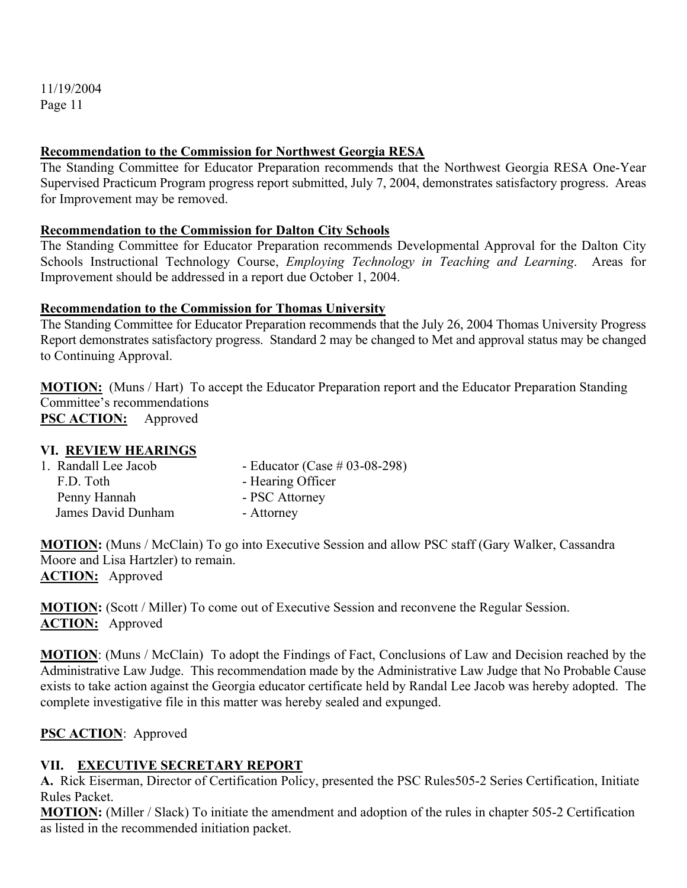#### **Recommendation to the Commission for Northwest Georgia RESA**

The Standing Committee for Educator Preparation recommends that the Northwest Georgia RESA One-Year Supervised Practicum Program progress report submitted, July 7, 2004, demonstrates satisfactory progress. Areas for Improvement may be removed.

#### **Recommendation to the Commission for Dalton City Schools**

The Standing Committee for Educator Preparation recommends Developmental Approval for the Dalton City Schools Instructional Technology Course, *Employing Technology in Teaching and Learning*. Areas for Improvement should be addressed in a report due October 1, 2004.

#### **Recommendation to the Commission for Thomas University**

The Standing Committee for Educator Preparation recommends that the July 26, 2004 Thomas University Progress Report demonstrates satisfactory progress. Standard 2 may be changed to Met and approval status may be changed to Continuing Approval.

**MOTION:** (Muns / Hart) To accept the Educator Preparation report and the Educator Preparation Standing Committee's recommendations **PSC ACTION:** Approved

#### **VI. REVIEW HEARINGS**

| 1. Randall Lee Jacob | - Educator (Case $# 03-08-298$ ) |
|----------------------|----------------------------------|
| F.D. Toth            | - Hearing Officer                |
| Penny Hannah         | - PSC Attorney                   |
| James David Dunham   | - Attorney                       |

**MOTION:** (Muns / McClain) To go into Executive Session and allow PSC staff (Gary Walker, Cassandra Moore and Lisa Hartzler) to remain. **ACTION:** Approved

**MOTION:** (Scott / Miller) To come out of Executive Session and reconvene the Regular Session. **ACTION:** Approved

**MOTION**: (Muns / McClain) To adopt the Findings of Fact, Conclusions of Law and Decision reached by the Administrative Law Judge. This recommendation made by the Administrative Law Judge that No Probable Cause exists to take action against the Georgia educator certificate held by Randal Lee Jacob was hereby adopted. The complete investigative file in this matter was hereby sealed and expunged.

#### **PSC ACTION**: Approved

## **VII. EXECUTIVE SECRETARY REPORT**

**A.** Rick Eiserman, Director of Certification Policy, presented the PSC Rules505-2 Series Certification, Initiate Rules Packet.

**MOTION:** (Miller / Slack) To initiate the amendment and adoption of the rules in chapter 505-2 Certification as listed in the recommended initiation packet.